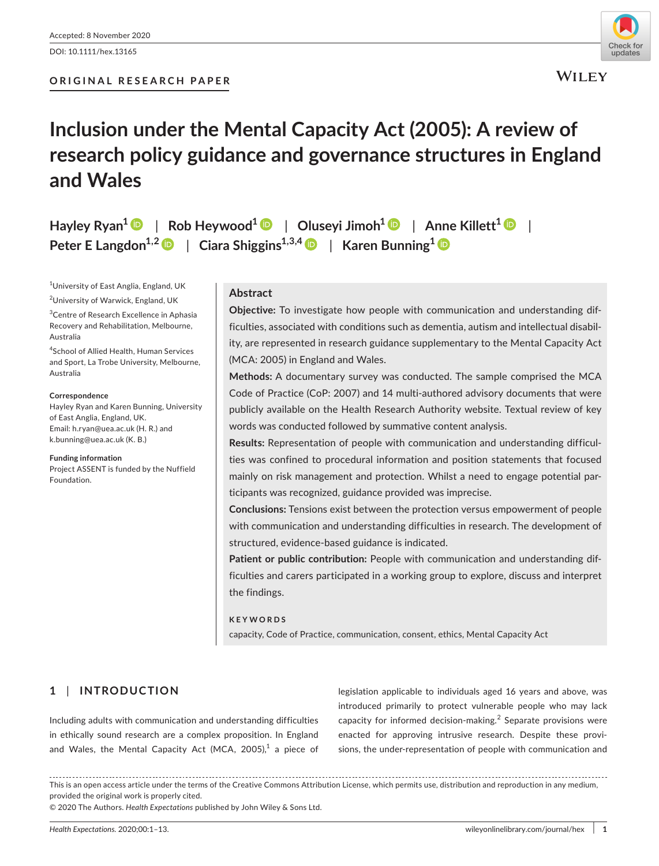DOI: 10.1111/hex.13165



# **Inclusion under the Mental Capacity Act (2005): A review of research policy guidance and governance structures in England and Wales**

**Hayley Ryan1** | **Rob Heywood1** | **Oluseyi Jimoh[1](https://orcid.org/0000-0003-4296-2729)** | **Anne Killett[1](https://orcid.org/0000-0003-4080-8365)** | **Peter E** Langdon<sup>[1](https://orcid.org/0000-0002-7396-9205),2</sup>  $\bullet$  | Ciara Shiggins<sup>1,3,[4](https://orcid.org/0000-0003-3263-5038)</sup>  $\bullet$  | Karen Bunning<sup>1</sup>  $\bullet$ 

1 University of East Anglia, England, UK

<sup>2</sup>University of Warwick, England, UK

<sup>3</sup>Centre of Research Excellence in Aphasia Recovery and Rehabilitation, Melbourne, Australia

4 School of Allied Health, Human Services and Sport, La Trobe University, Melbourne, Australia

#### **Correspondence**

Hayley Ryan and Karen Bunning, University of East Anglia, England, UK. Email: [h.ryan@uea.ac.uk](mailto:h.ryan@uea.ac.uk) (H. R.) and [k.bunning@uea.ac.uk](mailto:k.bunning@uea.ac.uk) (K. B.)

**Funding information** Project ASSENT is funded by the Nuffield Foundation.

## **Abstract**

**Objective:** To investigate how people with communication and understanding difficulties, associated with conditions such as dementia, autism and intellectual disability, are represented in research guidance supplementary to the Mental Capacity Act (MCA: 2005) in England and Wales.

**Methods:** A documentary survey was conducted. The sample comprised the MCA Code of Practice (CoP: 2007) and 14 multi-authored advisory documents that were publicly available on the Health Research Authority website. Textual review of key words was conducted followed by summative content analysis.

**Results:** Representation of people with communication and understanding difficulties was confined to procedural information and position statements that focused mainly on risk management and protection. Whilst a need to engage potential participants was recognized, guidance provided was imprecise.

**Conclusions:** Tensions exist between the protection versus empowerment of people with communication and understanding difficulties in research. The development of structured, evidence-based guidance is indicated.

**Patient or public contribution:** People with communication and understanding difficulties and carers participated in a working group to explore, discuss and interpret the findings.

#### **KEYWORDS**

capacity, Code of Practice, communication, consent, ethics, Mental Capacity Act

# **1** | **INTRODUCTION**

Including adults with communication and understanding difficulties in ethically sound research are a complex proposition. In England and Wales, the Mental Capacity Act (MCA, 2005), $^1$  a piece of legislation applicable to individuals aged 16 years and above, was introduced primarily to protect vulnerable people who may lack capacity for informed decision-making.<sup>2</sup> Separate provisions were enacted for approving intrusive research. Despite these provisions, the under-representation of people with communication and

This is an open access article under the terms of the [Creative Commons Attribution](http://creativecommons.org/licenses/by/4.0/) License, which permits use, distribution and reproduction in any medium, provided the original work is properly cited.

© 2020 The Authors. *Health Expectations* published by John Wiley & Sons Ltd.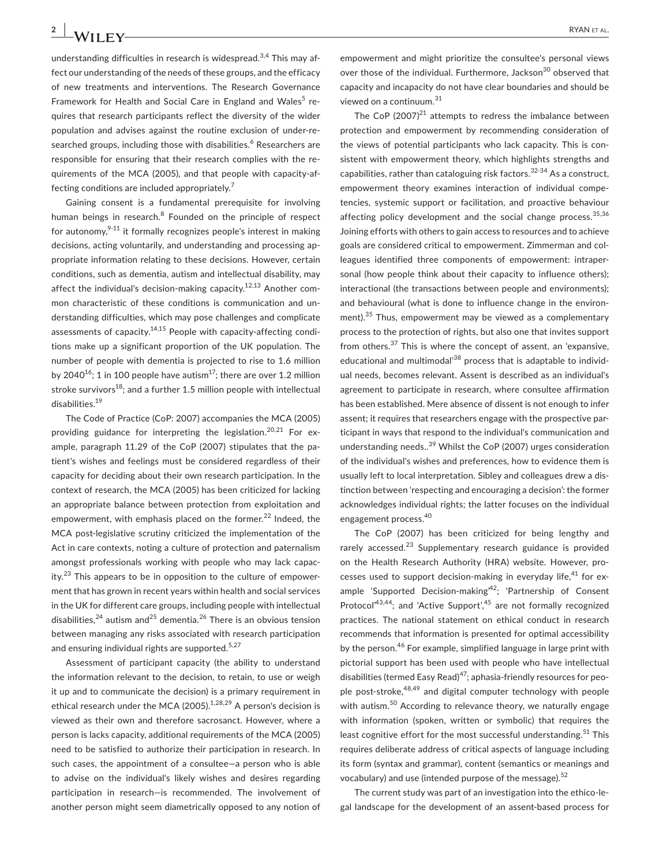understanding difficulties in research is widespread.<sup>3,4</sup> This may affect our understanding of the needs of these groups, and the efficacy of new treatments and interventions. The Research Governance Framework for Health and Social Care in England and Wales<sup>5</sup> requires that research participants reflect the diversity of the wider population and advises against the routine exclusion of under-researched groups, including those with disabilities.<sup>6</sup> Researchers are responsible for ensuring that their research complies with the requirements of the MCA (2005), and that people with capacity-affecting conditions are included appropriately.7

Gaining consent is a fundamental prerequisite for involving human beings in research.<sup>8</sup> Founded on the principle of respect for autonomy, $9-11$  it formally recognizes people's interest in making decisions, acting voluntarily, and understanding and processing appropriate information relating to these decisions. However, certain conditions, such as dementia, autism and intellectual disability, may affect the individual's decision-making capacity.<sup>12,13</sup> Another common characteristic of these conditions is communication and understanding difficulties, which may pose challenges and complicate assessments of capacity.<sup>14,15</sup> People with capacity-affecting conditions make up a significant proportion of the UK population. The number of people with dementia is projected to rise to 1.6 million by 2040<sup>16</sup>; 1 in 100 people have autism<sup>17</sup>; there are over 1.2 million stroke survivors<sup>18</sup>; and a further 1.5 million people with intellectual disabilities.19

The Code of Practice (CoP: 2007) accompanies the MCA (2005) providing guidance for interpreting the legislation.<sup>20,21</sup> For example, paragraph 11.29 of the CoP (2007) stipulates that the patient's wishes and feelings must be considered regardless of their capacity for deciding about their own research participation. In the context of research, the MCA (2005) has been criticized for lacking an appropriate balance between protection from exploitation and empowerment, with emphasis placed on the former.<sup>22</sup> Indeed, the MCA post-legislative scrutiny criticized the implementation of the Act in care contexts, noting a culture of protection and paternalism amongst professionals working with people who may lack capacity.<sup>23</sup> This appears to be in opposition to the culture of empowerment that has grown in recent years within health and social services in the UK for different care groups, including people with intellectual disabilities,<sup>24</sup> autism and<sup>25</sup> dementia.<sup>26</sup> There is an obvious tension between managing any risks associated with research participation and ensuring individual rights are supported. $5,27$ 

Assessment of participant capacity (the ability to understand the information relevant to the decision, to retain, to use or weigh it up and to communicate the decision) is a primary requirement in ethical research under the MCA (2005). $1,28,29$  A person's decision is viewed as their own and therefore sacrosanct. However, where a person is lacks capacity, additional requirements of the MCA (2005) need to be satisfied to authorize their participation in research. In such cases, the appointment of a consultee—a person who is able to advise on the individual's likely wishes and desires regarding participation in research—is recommended. The involvement of another person might seem diametrically opposed to any notion of empowerment and might prioritize the consultee's personal views over those of the individual. Furthermore, Jackson<sup>30</sup> observed that capacity and incapacity do not have clear boundaries and should be viewed on a continuum.<sup>31</sup>

The CoP  $(2007)^{21}$  attempts to redress the imbalance between protection and empowerment by recommending consideration of the views of potential participants who lack capacity. This is consistent with empowerment theory, which highlights strengths and capabilities, rather than cataloguing risk factors.32-34 As a construct, empowerment theory examines interaction of individual competencies, systemic support or facilitation, and proactive behaviour affecting policy development and the social change process.  $35,36$ Joining efforts with others to gain access to resources and to achieve goals are considered critical to empowerment. Zimmerman and colleagues identified three components of empowerment: intrapersonal (how people think about their capacity to influence others); interactional (the transactions between people and environments); and behavioural (what is done to influence change in the environment).<sup>35</sup> Thus, empowerment may be viewed as a complementary process to the protection of rights, but also one that invites support from others.37 This is where the concept of assent, an 'expansive, educational and multimodal<sup>38</sup> process that is adaptable to individual needs, becomes relevant. Assent is described as an individual's agreement to participate in research, where consultee affirmation has been established. Mere absence of dissent is not enough to infer assent; it requires that researchers engage with the prospective participant in ways that respond to the individual's communication and understanding needs..<sup>39</sup> Whilst the CoP (2007) urges consideration of the individual's wishes and preferences, how to evidence them is usually left to local interpretation. Sibley and colleagues drew a distinction between 'respecting and encouraging a decision': the former acknowledges individual rights; the latter focuses on the individual engagement process.<sup>40</sup>

The CoP (2007) has been criticized for being lengthy and rarely accessed.<sup>23</sup> Supplementary research guidance is provided on the Health Research Authority (HRA) website. However, processes used to support decision-making in everyday life, $41$  for example 'Supported Decision-making<sup> $42$ </sup>; 'Partnership of Consent Protocol<sup> $43,44$ </sup>; and 'Active Support',  $45$  are not formally recognized practices. The national statement on ethical conduct in research recommends that information is presented for optimal accessibility by the person.<sup>46</sup> For example, simplified language in large print with pictorial support has been used with people who have intellectual disabilities (termed Easy Read)<sup>47</sup>; aphasia-friendly resources for people post-stroke,<sup>48,49</sup> and digital computer technology with people with autism.<sup>50</sup> According to relevance theory, we naturally engage with information (spoken, written or symbolic) that requires the least cognitive effort for the most successful understanding. $51$  This requires deliberate address of critical aspects of language including its form (syntax and grammar), content (semantics or meanings and vocabulary) and use (intended purpose of the message).<sup>52</sup>

The current study was part of an investigation into the ethico-legal landscape for the development of an assent-based process for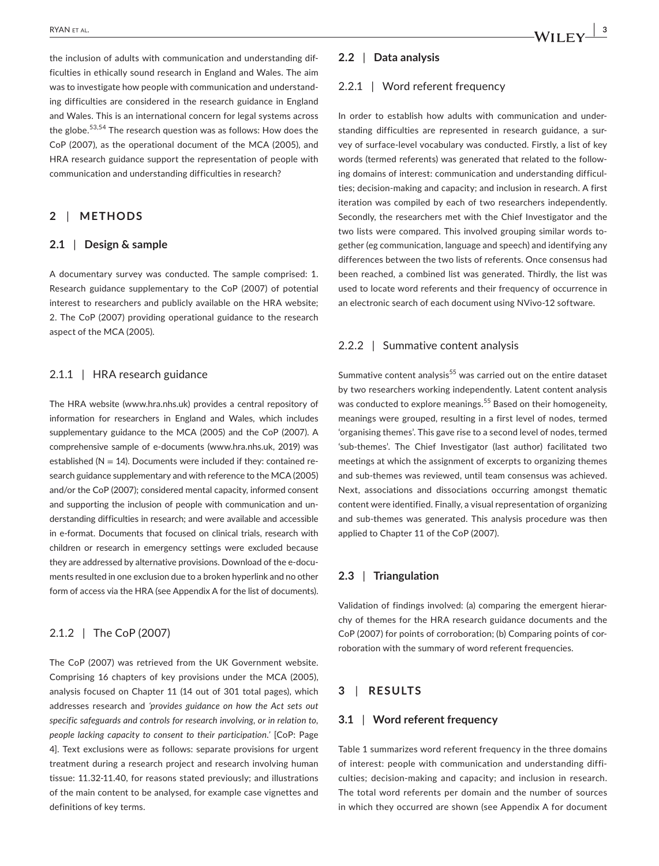the inclusion of adults with communication and understanding difficulties in ethically sound research in England and Wales. The aim was to investigate how people with communication and understanding difficulties are considered in the research guidance in England and Wales. This is an international concern for legal systems across the globe.53,54 The research question was as follows: How does the CoP (2007), as the operational document of the MCA (2005), and HRA research guidance support the representation of people with communication and understanding difficulties in research?

# **2** | **METHODS**

#### **2.1** | **Design & sample**

A documentary survey was conducted. The sample comprised: 1. Research guidance supplementary to the CoP (2007) of potential interest to researchers and publicly available on the HRA website; 2. The CoP (2007) providing operational guidance to the research aspect of the MCA (2005).

#### 2.1.1 | HRA research guidance

The HRA website [\(www.hra.nhs.uk\)](http://www.hra.nhs.uk) provides a central repository of information for researchers in England and Wales, which includes supplementary guidance to the MCA (2005) and the CoP (2007). A comprehensive sample of e-documents ([www.hra.nhs.uk,](http://www.hra.nhs.uk) 2019) was established ( $N = 14$ ). Documents were included if they: contained research guidance supplementary and with reference to the MCA (2005) and/or the CoP (2007); considered mental capacity, informed consent and supporting the inclusion of people with communication and understanding difficulties in research; and were available and accessible in e-format. Documents that focused on clinical trials, research with children or research in emergency settings were excluded because they are addressed by alternative provisions. Download of the e-documents resulted in one exclusion due to a broken hyperlink and no other form of access via the HRA (see Appendix A for the list of documents).

# 2.1.2 | The CoP (2007)

The CoP (2007) was retrieved from the UK Government website. Comprising 16 chapters of key provisions under the MCA (2005), analysis focused on Chapter 11 (14 out of 301 total pages), which addresses research and *'provides guidance on how the Act sets out specific safeguards and controls for research involving, or in relation to, people lacking capacity to consent to their participation.'* [CoP: Page 4]. Text exclusions were as follows: separate provisions for urgent treatment during a research project and research involving human tissue: 11.32-11.40, for reasons stated previously; and illustrations of the main content to be analysed, for example case vignettes and definitions of key terms.

#### **2.2** | **Data analysis**

#### 2.2.1 | Word referent frequency

In order to establish how adults with communication and understanding difficulties are represented in research guidance, a survey of surface-level vocabulary was conducted. Firstly, a list of key words (termed referents) was generated that related to the following domains of interest: communication and understanding difficulties; decision-making and capacity; and inclusion in research. A first iteration was compiled by each of two researchers independently. Secondly, the researchers met with the Chief Investigator and the two lists were compared. This involved grouping similar words together (eg communication, language and speech) and identifying any differences between the two lists of referents. Once consensus had been reached, a combined list was generated. Thirdly, the list was used to locate word referents and their frequency of occurrence in an electronic search of each document using NVivo-12 software.

#### 2.2.2 | Summative content analysis

Summative content analysis<sup>55</sup> was carried out on the entire dataset by two researchers working independently. Latent content analysis was conducted to explore meanings.<sup>55</sup> Based on their homogeneity, meanings were grouped, resulting in a first level of nodes, termed 'organising themes'. This gave rise to a second level of nodes, termed 'sub-themes'. The Chief Investigator (last author) facilitated two meetings at which the assignment of excerpts to organizing themes and sub-themes was reviewed, until team consensus was achieved. Next, associations and dissociations occurring amongst thematic content were identified. Finally, a visual representation of organizing and sub-themes was generated. This analysis procedure was then applied to Chapter 11 of the CoP (2007).

#### **2.3** | **Triangulation**

Validation of findings involved: (a) comparing the emergent hierarchy of themes for the HRA research guidance documents and the CoP (2007) for points of corroboration; (b) Comparing points of corroboration with the summary of word referent frequencies.

# **3** | **RESULTS**

#### **3.1** | **Word referent frequency**

Table 1 summarizes word referent frequency in the three domains of interest: people with communication and understanding difficulties; decision-making and capacity; and inclusion in research. The total word referents per domain and the number of sources in which they occurred are shown (see Appendix A for document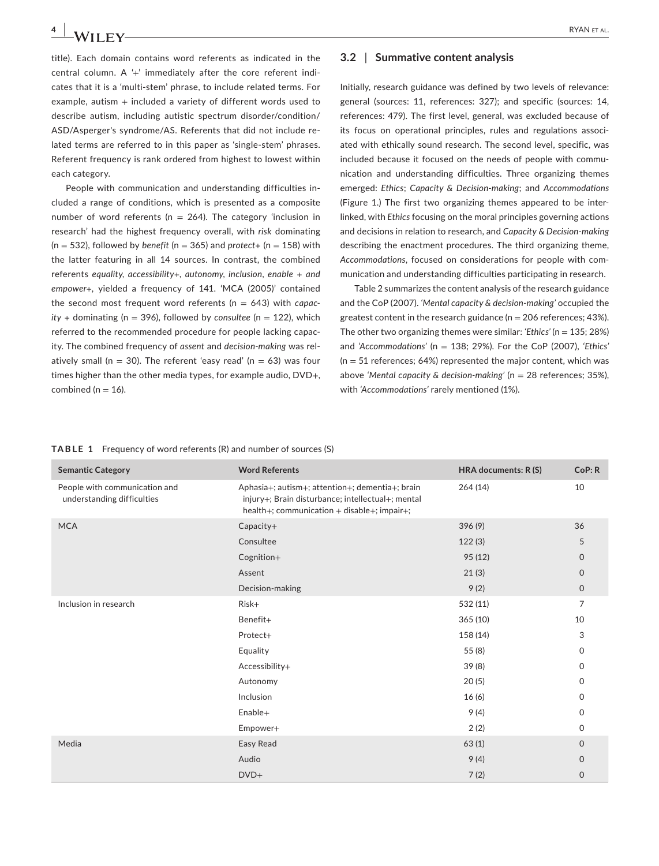title). Each domain contains word referents as indicated in the central column. A '+' immediately after the core referent indicates that it is a 'multi-stem' phrase, to include related terms. For example, autism + included a variety of different words used to describe autism, including autistic spectrum disorder/condition/ ASD/Asperger's syndrome/AS. Referents that did not include related terms are referred to in this paper as 'single-stem' phrases. Referent frequency is rank ordered from highest to lowest within each category.

People with communication and understanding difficulties included a range of conditions, which is presented as a composite number of word referents ( $n = 264$ ). The category 'inclusion in research' had the highest frequency overall, with *risk* dominating  $(n = 532)$ , followed by *benefit*  $(n = 365)$  and *protect*+  $(n = 158)$  with the latter featuring in all 14 sources. In contrast, the combined referents *equality, accessibility+, autonomy, inclusion, enable + and empower+,* yielded a frequency of 141. 'MCA (2005)' contained the second most frequent word referents (n = 643) with *capac* $ity +$  dominating (n = 396), followed by *consultee* (n = 122), which referred to the recommended procedure for people lacking capacity. The combined frequency of *assent* and *decision-making* was relatively small ( $n = 30$ ). The referent 'easy read' ( $n = 63$ ) was four times higher than the other media types, for example audio, DVD+, combined ( $n = 16$ ).

#### **3.2** | **Summative content analysis**

Initially, research guidance was defined by two levels of relevance: general (sources: 11, references: 327); and specific (sources: 14, references: 479). The first level, general, was excluded because of its focus on operational principles, rules and regulations associated with ethically sound research. The second level, specific, was included because it focused on the needs of people with communication and understanding difficulties. Three organizing themes emerged: *Ethics*; *Capacity & Decision-making*; and *Accommodations* (Figure 1.) The first two organizing themes appeared to be interlinked, with *Ethics* focusing on the moral principles governing actions and decisions in relation to research, and *Capacity & Decision-making* describing the enactment procedures. The third organizing theme, *Accommodations*, focused on considerations for people with communication and understanding difficulties participating in research.

Table 2 summarizes the content analysis of the research guidance and the CoP (2007). *'Mental capacity & decision-making'* occupied the greatest content in the research guidance ( $n = 206$  references; 43%). The other two organizing themes were similar: *'Ethics'* (n = 135; 28%) and *'Accommodations'* (n = 138; 29%). For the CoP (2007), *'Ethics'*  $(n = 51$  references; 64%) represented the major content, which was above *'Mental capacity & decision-making'* (n = 28 references; 35%), with *'Accommodations'* rarely mentioned (1%).

|  | <b>TABLE 1</b> Frequency of word referents $(R)$ and number of sources $(S)$ |  |
|--|------------------------------------------------------------------------------|--|
|--|------------------------------------------------------------------------------|--|

| <b>Semantic Category</b>                                    | <b>Word Referents</b>                                                                                                                               | HRA documents: R (S) | CoP: R       |
|-------------------------------------------------------------|-----------------------------------------------------------------------------------------------------------------------------------------------------|----------------------|--------------|
| People with communication and<br>understanding difficulties | Aphasia+; autism+; attention+; dementia+; brain<br>injury+; Brain disturbance; intellectual+; mental<br>health+; communication + disable+; impair+; | 264(14)              | 10           |
| <b>MCA</b>                                                  | Capacity+                                                                                                                                           | 396(9)               | 36           |
|                                                             | Consultee                                                                                                                                           | 122(3)               | 5            |
|                                                             | Cognition+                                                                                                                                          | 95(12)               | $\mathbf{O}$ |
|                                                             | Assent                                                                                                                                              | 21(3)                | $\mathbf{0}$ |
|                                                             | Decision-making                                                                                                                                     | 9(2)                 | $\mathbf 0$  |
| Inclusion in research                                       | Risk+                                                                                                                                               | 532 (11)             | 7            |
|                                                             | Benefit+                                                                                                                                            | 365(10)              | 10           |
|                                                             | Protect+                                                                                                                                            | 158 (14)             | 3            |
|                                                             | Equality                                                                                                                                            | 55(8)                | 0            |
|                                                             | Accessibility+                                                                                                                                      | 39 (8)               | $\mathsf{O}$ |
|                                                             | Autonomy                                                                                                                                            | 20(5)                | $\mathbf{0}$ |
|                                                             | Inclusion                                                                                                                                           | 16(6)                | $\Omega$     |
|                                                             | Enable+                                                                                                                                             | 9(4)                 | 0            |
|                                                             | Empower+                                                                                                                                            | 2(2)                 | $\mathbf{0}$ |
| Media                                                       | Easy Read                                                                                                                                           | 63(1)                | $\mathbf{0}$ |
|                                                             | Audio                                                                                                                                               | 9(4)                 | $\Omega$     |
|                                                             | $DVD+$                                                                                                                                              | 7(2)                 | $\mathbf 0$  |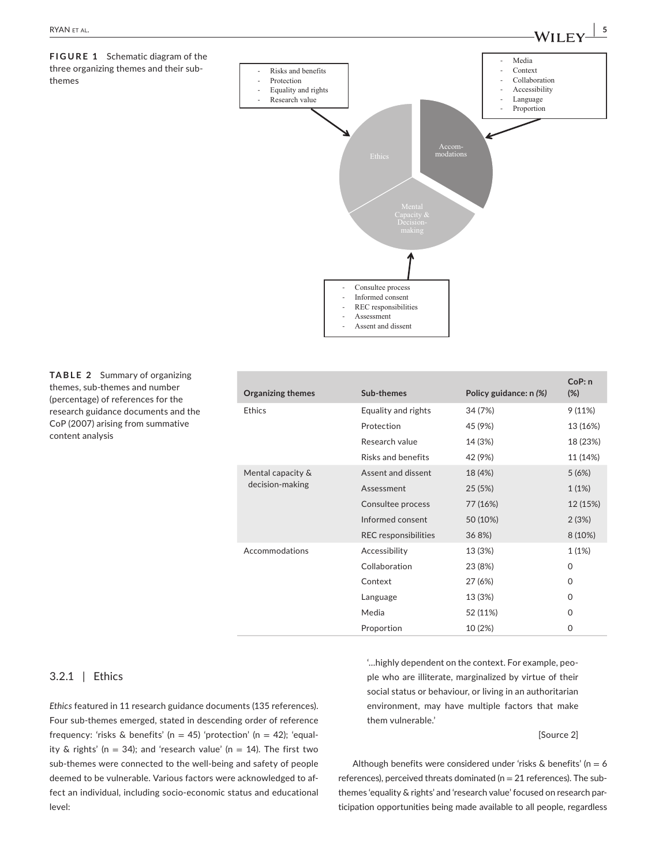



**TABLE 2** Summary of organizing themes, sub-themes and number (percentage) of references for the research guidance documents and the CoP (2007) arising from summative content analysis

| <b>Organizing themes</b> | Sub-themes                  | Policy guidance: n (%) | CoP: n<br>(%) |
|--------------------------|-----------------------------|------------------------|---------------|
| <b>Ethics</b>            | Equality and rights         | 34 (7%)                | 9(11%)        |
|                          | Protection                  | 45 (9%)                | 13 (16%)      |
|                          | Research value              | 14 (3%)                | 18 (23%)      |
|                          | Risks and benefits          | 42 (9%)                | 11 (14%)      |
| Mental capacity &        | Assent and dissent          | 18 (4%)                | 5(6%)         |
| decision-making          | Assessment                  | 25(5%)                 | 1(1%)         |
|                          | Consultee process           | 77 (16%)               | 12 (15%)      |
|                          | Informed consent            | 50 (10%)               | 2(3%)         |
|                          | <b>REC</b> responsibilities | 36 8%)                 | 8 (10%)       |
| Accommodations           | Accessibility               | 13 (3%)                | 1(1%)         |
|                          | Collaboration               | 23 (8%)                | 0             |
|                          | Context                     | 27 (6%)                | 0             |
|                          | Language                    | 13 (3%)                | 0             |
|                          | Media                       | 52 (11%)               | 0             |
|                          | Proportion                  | 10 (2%)                | $\Omega$      |

them vulnerable.'

#### 3.2.1 | Ethics

*Ethics* featured in 11 research guidance documents (135 references). Four sub-themes emerged, stated in descending order of reference frequency: 'risks & benefits' (n = 45) 'protection' (n = 42); 'equality & rights' ( $n = 34$ ); and 'research value' ( $n = 14$ ). The first two sub-themes were connected to the well-being and safety of people deemed to be vulnerable. Various factors were acknowledged to affect an individual, including socio-economic status and educational level:

social status or behaviour, or living in an authoritarian environment, may have multiple factors that make

[Source 2]

Although benefits were considered under 'risks & benefits' ( $n = 6$ ) references), perceived threats dominated ( $n = 21$  references). The subthemes 'equality & rights' and 'research value' focused on research participation opportunities being made available to all people, regardless

'…highly dependent on the context. For example, people who are illiterate, marginalized by virtue of their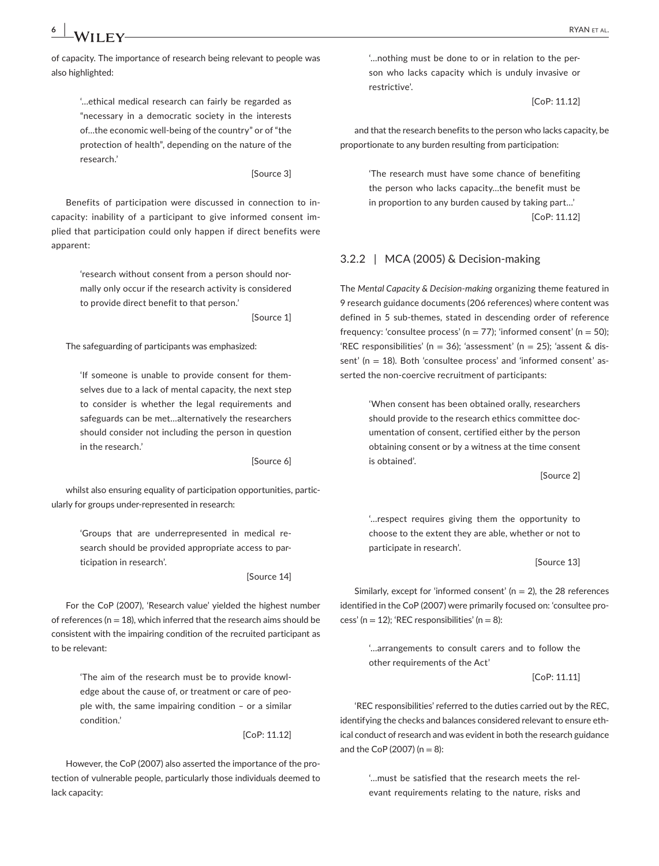of capacity. The importance of research being relevant to people was also highlighted:

> '…ethical medical research can fairly be regarded as "necessary in a democratic society in the interests of…the economic well-being of the country" or of "the protection of health", depending on the nature of the research.'

> > [Source 3]

Benefits of participation were discussed in connection to incapacity: inability of a participant to give informed consent implied that participation could only happen if direct benefits were apparent:

> 'research without consent from a person should normally only occur if the research activity is considered to provide direct benefit to that person.'

> > [Source 1]

The safeguarding of participants was emphasized:

'If someone is unable to provide consent for themselves due to a lack of mental capacity, the next step to consider is whether the legal requirements and safeguards can be met…alternatively the researchers should consider not including the person in question in the research.'

[Source 6]

whilst also ensuring equality of participation opportunities, particularly for groups under-represented in research:

> 'Groups that are underrepresented in medical research should be provided appropriate access to participation in research'.

> > [Source 14]

For the CoP (2007), 'Research value' yielded the highest number of references ( $n = 18$ ), which inferred that the research aims should be consistent with the impairing condition of the recruited participant as to be relevant:

> 'The aim of the research must be to provide knowledge about the cause of, or treatment or care of people with, the same impairing condition – or a similar condition.'

> > [CoP: 11.12]

However, the CoP (2007) also asserted the importance of the protection of vulnerable people, particularly those individuals deemed to lack capacity:

'…nothing must be done to or in relation to the person who lacks capacity which is unduly invasive or restrictive'.

[CoP: 11.12]

and that the research benefits to the person who lacks capacity, be proportionate to any burden resulting from participation:

> 'The research must have some chance of benefiting the person who lacks capacity…the benefit must be in proportion to any burden caused by taking part…' [CoP: 11.12]

#### 3.2.2 | MCA (2005) & Decision-making

The *Mental Capacity & Decision-making* organizing theme featured in 9 research guidance documents (206 references) where content was defined in 5 sub-themes, stated in descending order of reference frequency: 'consultee process' (n = 77); 'informed consent' (n = 50); 'REC responsibilities' (n = 36); 'assessment' (n = 25); 'assent & dissent' (n = 18). Both 'consultee process' and 'informed consent' asserted the non-coercive recruitment of participants:

> 'When consent has been obtained orally, researchers should provide to the research ethics committee documentation of consent, certified either by the person obtaining consent or by a witness at the time consent is obtained'.

> > [Source 2]

'…respect requires giving them the opportunity to choose to the extent they are able, whether or not to participate in research'.

[Source 13]

Similarly, except for 'informed consent' ( $n = 2$ ), the 28 references identified in the CoP (2007) were primarily focused on: 'consultee process' ( $n = 12$ ); 'REC responsibilities' ( $n = 8$ ):

> '…arrangements to consult carers and to follow the other requirements of the Act'

> > [CoP: 11.11]

'REC responsibilities' referred to the duties carried out by the REC, identifying the checks and balances considered relevant to ensure ethical conduct of research and was evident in both the research guidance and the CoP (2007) ( $n = 8$ ):

> '…must be satisfied that the research meets the relevant requirements relating to the nature, risks and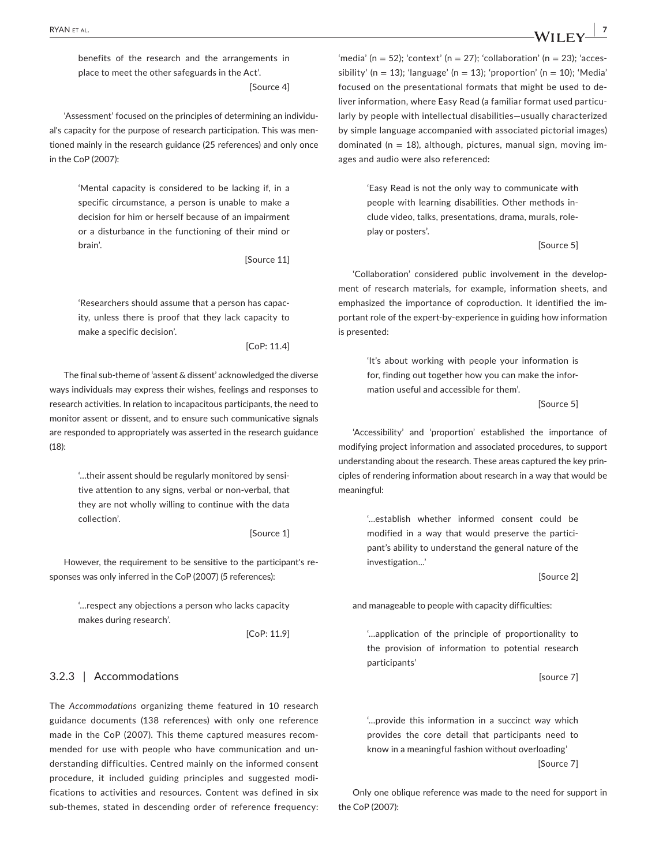benefits of the research and the arrangements in place to meet the other safeguards in the Act'. [Source 4]

'Assessment' focused on the principles of determining an individual's capacity for the purpose of research participation. This was mentioned mainly in the research guidance (25 references) and only once in the CoP (2007):

> 'Mental capacity is considered to be lacking if, in a specific circumstance, a person is unable to make a decision for him or herself because of an impairment or a disturbance in the functioning of their mind or brain'.

> > [Source 11]

'Researchers should assume that a person has capacity, unless there is proof that they lack capacity to make a specific decision'.

[CoP: 11.4]

The final sub-theme of 'assent & dissent' acknowledged the diverse ways individuals may express their wishes, feelings and responses to research activities. In relation to incapacitous participants, the need to monitor assent or dissent, and to ensure such communicative signals are responded to appropriately was asserted in the research guidance (18):

> '…their assent should be regularly monitored by sensitive attention to any signs, verbal or non-verbal, that they are not wholly willing to continue with the data collection'.

> > [Source 1]

However, the requirement to be sensitive to the participant's responses was only inferred in the CoP (2007) (5 references):

> '…respect any objections a person who lacks capacity makes during research'.

> > [CoP: 11.9]

#### 3.2.3 | Accommodations

The *Accommodations* organizing theme featured in 10 research guidance documents (138 references) with only one reference made in the CoP (2007). This theme captured measures recommended for use with people who have communication and understanding difficulties. Centred mainly on the informed consent procedure, it included guiding principles and suggested modifications to activities and resources. Content was defined in six sub-themes, stated in descending order of reference frequency:

'media' (n = 52); 'context' (n = 27); 'collaboration' (n = 23); 'accessibility' (n = 13); 'language' (n = 13); 'proportion' (n = 10); 'Media' focused on the presentational formats that might be used to deliver information, where Easy Read (a familiar format used particularly by people with intellectual disabilities—usually characterized by simple language accompanied with associated pictorial images) dominated ( $n = 18$ ), although, pictures, manual sign, moving images and audio were also referenced:

> 'Easy Read is not the only way to communicate with people with learning disabilities. Other methods include video, talks, presentations, drama, murals, roleplay or posters'.

> > [Source 5]

'Collaboration' considered public involvement in the development of research materials, for example, information sheets, and emphasized the importance of coproduction. It identified the important role of the expert-by-experience in guiding how information is presented:

> 'It's about working with people your information is for, finding out together how you can make the information useful and accessible for them'.

> > [Source 5]

'Accessibility' and 'proportion' established the importance of modifying project information and associated procedures, to support understanding about the research. These areas captured the key principles of rendering information about research in a way that would be meaningful:

> '…establish whether informed consent could be modified in a way that would preserve the participant's ability to understand the general nature of the investigation...'

> > [Source 2]

and manageable to people with capacity difficulties:

'…application of the principle of proportionality to the provision of information to potential research participants'

[source 7]

'…provide this information in a succinct way which provides the core detail that participants need to know in a meaningful fashion without overloading' [Source 7]

Only one oblique reference was made to the need for support in the CoP (2007):

 **|** RYAN et al. **7**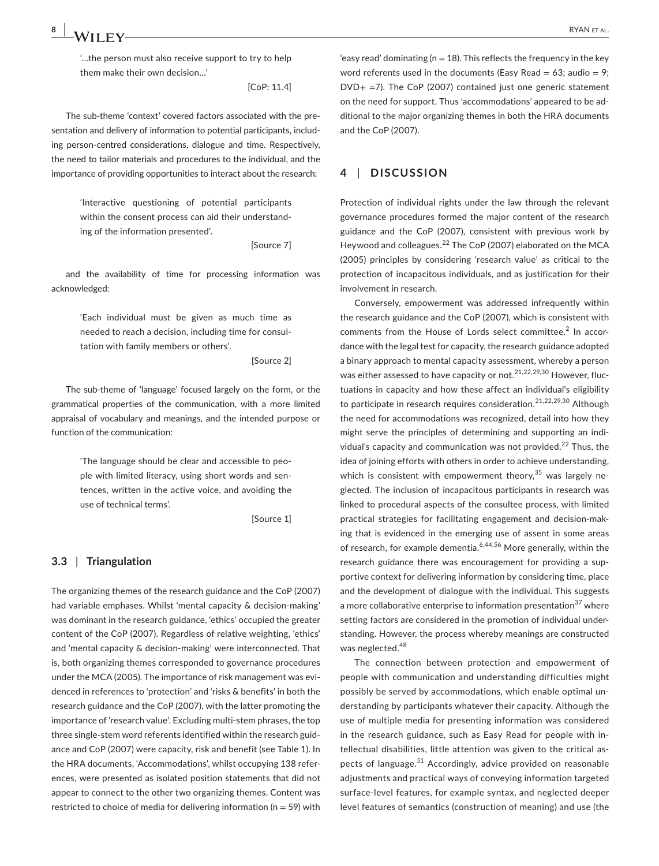'…the person must also receive support to try to help them make their own decision…'

[CoP: 11.4]

The sub-theme 'context' covered factors associated with the presentation and delivery of information to potential participants, including person-centred considerations, dialogue and time. Respectively, the need to tailor materials and procedures to the individual, and the importance of providing opportunities to interact about the research:

> 'Interactive questioning of potential participants within the consent process can aid their understanding of the information presented'.

> > [Source 7]

and the availability of time for processing information was acknowledged:

> 'Each individual must be given as much time as needed to reach a decision, including time for consultation with family members or others'.

> > [Source 2]

The sub-theme of 'language' focused largely on the form, or the grammatical properties of the communication, with a more limited appraisal of vocabulary and meanings, and the intended purpose or function of the communication:

> 'The language should be clear and accessible to people with limited literacy, using short words and sentences, written in the active voice, and avoiding the use of technical terms'.

> > [Source 1]

#### **3.3** | **Triangulation**

The organizing themes of the research guidance and the CoP (2007) had variable emphases. Whilst 'mental capacity & decision-making' was dominant in the research guidance, 'ethics' occupied the greater content of the CoP (2007). Regardless of relative weighting, 'ethics' and 'mental capacity & decision-making' were interconnected. That is, both organizing themes corresponded to governance procedures under the MCA (2005). The importance of risk management was evidenced in references to 'protection' and 'risks & benefits' in both the research guidance and the CoP (2007), with the latter promoting the importance of 'research value'. Excluding multi-stem phrases, the top three single-stem word referents identified within the research guidance and CoP (2007) were capacity, risk and benefit (see Table 1). In the HRA documents, 'Accommodations', whilst occupying 138 references, were presented as isolated position statements that did not appear to connect to the other two organizing themes. Content was restricted to choice of media for delivering information ( $n = 59$ ) with

'easy read' dominating ( $n = 18$ ). This reflects the frequency in the key word referents used in the documents (Easy Read = 63; audio = 9;  $DVD<sub>+</sub> =7$ ). The CoP (2007) contained just one generic statement on the need for support. Thus 'accommodations' appeared to be additional to the major organizing themes in both the HRA documents and the CoP (2007).

## **4** | **DISCUSSION**

Protection of individual rights under the law through the relevant governance procedures formed the major content of the research guidance and the CoP (2007), consistent with previous work by Heywood and colleagues.<sup>22</sup> The CoP (2007) elaborated on the MCA (2005) principles by considering 'research value' as critical to the protection of incapacitous individuals, and as justification for their involvement in research.

Conversely, empowerment was addressed infrequently within the research guidance and the CoP (2007), which is consistent with comments from the House of Lords select committee.<sup>2</sup> In accordance with the legal test for capacity, the research guidance adopted a binary approach to mental capacity assessment, whereby a person was either assessed to have capacity or not.<sup>21,22,29,30</sup> However. fluctuations in capacity and how these affect an individual's eligibility to participate in research requires consideration.<sup>21,22,29,30</sup> Although the need for accommodations was recognized, detail into how they might serve the principles of determining and supporting an individual's capacity and communication was not provided.<sup>22</sup> Thus, the idea of joining efforts with others in order to achieve understanding, which is consistent with empowerment theory,  $35$  was largely neglected. The inclusion of incapacitous participants in research was linked to procedural aspects of the consultee process, with limited practical strategies for facilitating engagement and decision-making that is evidenced in the emerging use of assent in some areas of research, for example dementia.<sup>6,44,56</sup> More generally, within the research guidance there was encouragement for providing a supportive context for delivering information by considering time, place and the development of dialogue with the individual. This suggests a more collaborative enterprise to information presentation<sup>37</sup> where setting factors are considered in the promotion of individual understanding. However, the process whereby meanings are constructed was neglected. $48$ 

The connection between protection and empowerment of people with communication and understanding difficulties might possibly be served by accommodations, which enable optimal understanding by participants whatever their capacity. Although the use of multiple media for presenting information was considered in the research guidance, such as Easy Read for people with intellectual disabilities, little attention was given to the critical aspects of language.<sup>51</sup> Accordingly, advice provided on reasonable adjustments and practical ways of conveying information targeted surface-level features, for example syntax, and neglected deeper level features of semantics (construction of meaning) and use (the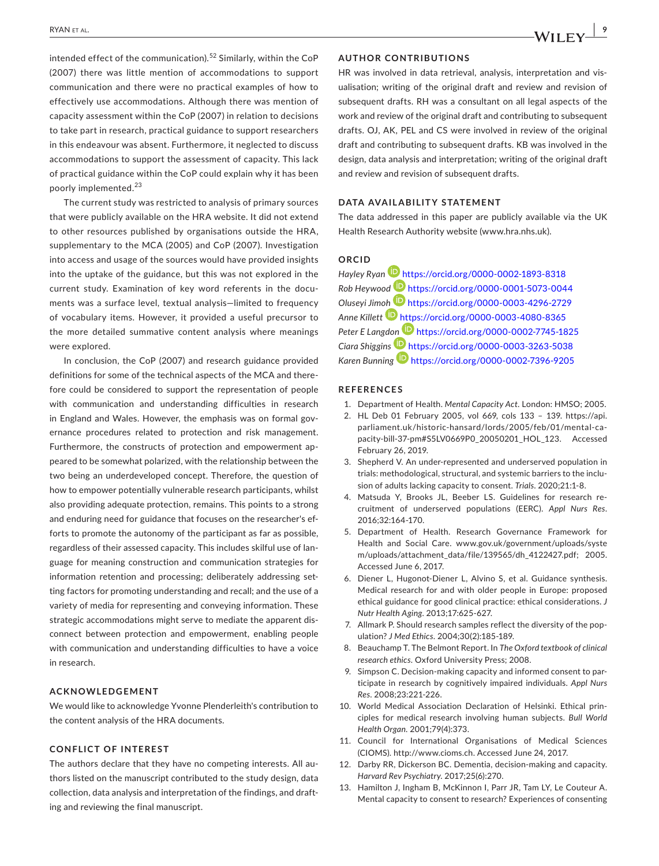intended effect of the communication).<sup>52</sup> Similarly, within the CoP (2007) there was little mention of accommodations to support communication and there were no practical examples of how to effectively use accommodations. Although there was mention of capacity assessment within the CoP (2007) in relation to decisions to take part in research, practical guidance to support researchers in this endeavour was absent. Furthermore, it neglected to discuss accommodations to support the assessment of capacity. This lack of practical guidance within the CoP could explain why it has been poorly implemented.<sup>23</sup>

The current study was restricted to analysis of primary sources that were publicly available on the HRA website. It did not extend to other resources published by organisations outside the HRA, supplementary to the MCA (2005) and CoP (2007). Investigation into access and usage of the sources would have provided insights into the uptake of the guidance, but this was not explored in the current study. Examination of key word referents in the documents was a surface level, textual analysis—limited to frequency of vocabulary items. However, it provided a useful precursor to the more detailed summative content analysis where meanings were explored.

In conclusion, the CoP (2007) and research guidance provided definitions for some of the technical aspects of the MCA and therefore could be considered to support the representation of people with communication and understanding difficulties in research in England and Wales. However, the emphasis was on formal governance procedures related to protection and risk management. Furthermore, the constructs of protection and empowerment appeared to be somewhat polarized, with the relationship between the two being an underdeveloped concept. Therefore, the question of how to empower potentially vulnerable research participants, whilst also providing adequate protection, remains. This points to a strong and enduring need for guidance that focuses on the researcher's efforts to promote the autonomy of the participant as far as possible, regardless of their assessed capacity. This includes skilful use of language for meaning construction and communication strategies for information retention and processing; deliberately addressing setting factors for promoting understanding and recall; and the use of a variety of media for representing and conveying information. These strategic accommodations might serve to mediate the apparent disconnect between protection and empowerment, enabling people with communication and understanding difficulties to have a voice in research.

#### **ACKNOWLEDGEMENT**

We would like to acknowledge Yvonne Plenderleith's contribution to the content analysis of the HRA documents.

#### **CONFLICT OF INTEREST**

The authors declare that they have no competing interests. All authors listed on the manuscript contributed to the study design, data collection, data analysis and interpretation of the findings, and drafting and reviewing the final manuscript.

#### **AUTHOR CONTRIBUTIONS**

HR was involved in data retrieval, analysis, interpretation and visualisation; writing of the original draft and review and revision of subsequent drafts. RH was a consultant on all legal aspects of the work and review of the original draft and contributing to subsequent drafts. OJ, AK, PEL and CS were involved in review of the original draft and contributing to subsequent drafts. KB was involved in the design, data analysis and interpretation; writing of the original draft and review and revision of subsequent drafts.

#### **DATA AVAILABILITY STATEMENT**

The data addressed in this paper are publicly available via the UK Health Research Authority website ([www.hra.nhs.uk](http://www.hra.nhs.uk)).

# **ORCID**

*Hayley Ryan* <https://orcid.org/0000-0002-1893-8318> *Rob Heywood* <https://orcid.org/0000-0001-5073-0044> *Oluseyi Jim[oh](https://orcid.org/0000-0003-4080-8365)* <https://orcid.org/0000-0003-4296-2729> *Anne Killett* <https://orcid.org/0000-0003-4080-8365> *Peter E Langd[on](https://orcid.org/0000-0003-3263-5038)* <https://orcid.org/0000-0002-7745-1825> *Ciara Shiggins* <https://orcid.org/0000-0003-3263-5038> *Karen Bunning* <https://orcid.org/0000-0002-7396-9205>

#### **REFERENCES**

- 1. Department of Health. *Mental Capacity Act*. London: HMSO; 2005.
- 2. HL Deb 01 February 2005, vol 669, cols 133 139. [https://api.](https://api.parliament.uk/historic-hansard/lords/2005/feb/01/mental-capacity-bill-37-pm#S5LV0669P0_20050201_HOL_123) [parliament.uk/historic-hansard/lords/2005/feb/01/mental-ca](https://api.parliament.uk/historic-hansard/lords/2005/feb/01/mental-capacity-bill-37-pm#S5LV0669P0_20050201_HOL_123)[pacity-bill-37-pm#S5LV0669P0\\_20050201\\_HOL\\_123.](https://api.parliament.uk/historic-hansard/lords/2005/feb/01/mental-capacity-bill-37-pm#S5LV0669P0_20050201_HOL_123) Accessed February 26, 2019.
- 3. Shepherd V. An under-represented and underserved population in trials: methodological, structural, and systemic barriers to the inclusion of adults lacking capacity to consent. *Trials*. 2020;21:1-8.
- 4. Matsuda Y, Brooks JL, Beeber LS. Guidelines for research recruitment of underserved populations (EERC). *Appl Nurs Res*. 2016;32:164-170.
- 5. Department of Health. Research Governance Framework for Health and Social Care. [www.gov.uk/government/uploads/syste](http://www.gov.uk/government/uploads/system/uploads/attachment_data/file/139565/dh_4122427.pdf) [m/uploads/attachment\\_data/file/139565/dh\\_4122427.pdf](http://www.gov.uk/government/uploads/system/uploads/attachment_data/file/139565/dh_4122427.pdf); 2005. Accessed June 6, 2017.
- 6. Diener L, Hugonot-Diener L, Alvino S, et al. Guidance synthesis. Medical research for and with older people in Europe: proposed ethical guidance for good clinical practice: ethical considerations. *J Nutr Health Aging*. 2013;17:625-627.
- 7. Allmark P. Should research samples reflect the diversity of the population? *J Med Ethics*. 2004;30(2):185-189.
- 8. Beauchamp T. The Belmont Report. In *The Oxford textbook of clinical research ethics*. Oxford University Press; 2008.
- 9. Simpson C. Decision-making capacity and informed consent to participate in research by cognitively impaired individuals. *Appl Nurs Res*. 2008;23:221-226.
- 10. World Medical Association Declaration of Helsinki. Ethical principles for medical research involving human subjects. *Bull World Health Organ*. 2001;79(4):373.
- 11. Council for International Organisations of Medical Sciences (CIOMS). [http://www.cioms.ch.](http://www.cioms.ch) Accessed June 24, 2017.
- 12. Darby RR, Dickerson BC. Dementia, decision-making and capacity. *Harvard Rev Psychiatry*. 2017;25(6):270.
- 13. Hamilton J, Ingham B, McKinnon I, Parr JR, Tam LY, Le Couteur A. Mental capacity to consent to research? Experiences of consenting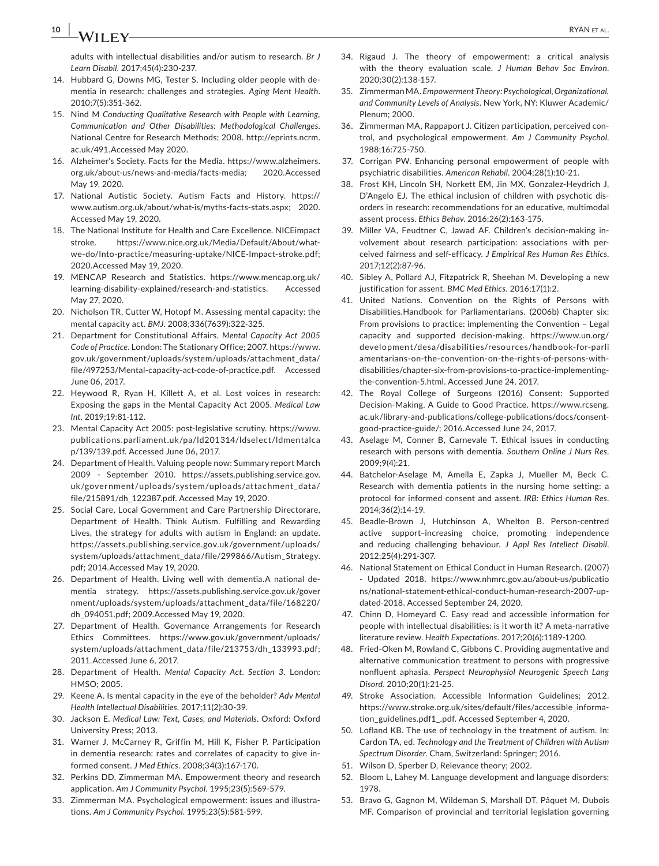**10 b** *M/H*  $\Gamma$  *M/M et al.* 

adults with intellectual disabilities and/or autism to research. *Br J Learn Disabil*. 2017;45(4):230-237.

- 14. Hubbard G, Downs MG, Tester S. Including older people with dementia in research: challenges and strategies. *Aging Ment Health*. 2010;7(5):351-362.
- 15. Nind M *Conducting Qualitative Research with People with Learning, Communication and Other Disabilities: Methodological Challenges*. National Centre for Research Methods; 2008. [http://eprints.ncrm.](http://eprints.ncrm.ac.uk/491) [ac.uk/491](http://eprints.ncrm.ac.uk/491).Accessed May 2020.
- 16. Alzheimer's Society. Facts for the Media. [https://www.alzheimers.](https://www.alzheimers.org.uk/about-us/news-and-media/facts-media) [org.uk/about-us/news-and-media/facts-media;](https://www.alzheimers.org.uk/about-us/news-and-media/facts-media) 2020.Accessed May 19, 2020.
- 17. National Autistic Society. Autism Facts and History. [https://](https://www.autism.org.uk/about/what-is/myths-facts-stats.aspx) [www.autism.org.uk/about/what-is/myths-facts-stats.aspx;](https://www.autism.org.uk/about/what-is/myths-facts-stats.aspx) 2020. Accessed May 19, 2020.
- 18. The National Institute for Health and Care Excellence. NICEimpact stroke. [https://www.nice.org.uk/Media/Default/About/what](https://www.nice.org.uk/Media/Default/About/what-we-do/Into-practice/measuring-uptake/NICE-Impact-stroke.pdf)[we-do/Into-practice/measuring-uptake/NICE-Impact-stroke.pdf;](https://www.nice.org.uk/Media/Default/About/what-we-do/Into-practice/measuring-uptake/NICE-Impact-stroke.pdf) 2020.Accessed May 19, 2020.
- 19. MENCAP Research and Statistics. [https://www.mencap.org.uk/](https://www.mencap.org.uk/learning-disability-explained/research-and-statistics) [learning-disability-explained/research-and-statistics.](https://www.mencap.org.uk/learning-disability-explained/research-and-statistics) Accessed May 27, 2020.
- 20. Nicholson TR, Cutter W, Hotopf M. Assessing mental capacity: the mental capacity act. *BMJ*. 2008;336(7639):322-325.
- 21. Department for Constitutional Affairs. *Mental Capacity Act 2005 Code of Practice*. London: The Stationary Office; 2007. [https://www.](https://www.gov.uk/government/uploads/system/uploads/attachment_data/file/497253/Mental-capacity-act-code-of-practice.pdf) [gov.uk/government/uploads/system/uploads/attachment\\_data/](https://www.gov.uk/government/uploads/system/uploads/attachment_data/file/497253/Mental-capacity-act-code-of-practice.pdf) [file/497253/Mental-capacity-act-code-of-practice.pdf.](https://www.gov.uk/government/uploads/system/uploads/attachment_data/file/497253/Mental-capacity-act-code-of-practice.pdf) Accessed June 06, 2017.
- 22. Heywood R, Ryan H, Killett A, et al. Lost voices in research: Exposing the gaps in the Mental Capacity Act 2005. *Medical Law Int*. 2019;19:81-112.
- 23. Mental Capacity Act 2005: post-legislative scrutiny. [https://www.](https://www.publications.parliament.uk/pa/ld201314/ldselect/ldmentalcap/139/139.pdf) [publications.parliament.uk/pa/ld201314/ldselect/ldmentalca](https://www.publications.parliament.uk/pa/ld201314/ldselect/ldmentalcap/139/139.pdf) [p/139/139.pdf.](https://www.publications.parliament.uk/pa/ld201314/ldselect/ldmentalcap/139/139.pdf) Accessed June 06, 2017.
- 24. Department of Health. Valuing people now: Summary report March 2009 - September 2010. [https://assets.publishing.service.gov.](https://assets.publishing.service.gov.uk/government/uploads/system/uploads/attachment_data/file/215891/dh_122387.pdf) [uk/government/uploads/system/uploads/attachment\\_data/](https://assets.publishing.service.gov.uk/government/uploads/system/uploads/attachment_data/file/215891/dh_122387.pdf) [file/215891/dh\\_122387.pdf](https://assets.publishing.service.gov.uk/government/uploads/system/uploads/attachment_data/file/215891/dh_122387.pdf). Accessed May 19, 2020.
- 25. Social Care, Local Government and Care Partnership Directorare, Department of Health. Think Autism. Fulfilling and Rewarding Lives, the strategy for adults with autism in England: an update. [https://assets.publishing.service.gov.uk/government/uploads/](https://assets.publishing.service.gov.uk/government/uploads/system/uploads/attachment_data/file/299866/Autism_Strategy.pdf) [system/uploads/attachment\\_data/file/299866/Autism\\_Strategy.](https://assets.publishing.service.gov.uk/government/uploads/system/uploads/attachment_data/file/299866/Autism_Strategy.pdf) [pdf](https://assets.publishing.service.gov.uk/government/uploads/system/uploads/attachment_data/file/299866/Autism_Strategy.pdf); 2014.Accessed May 19, 2020.
- 26. Department of Health. Living well with dementia.A national dementia strategy. [https://assets.publishing.service.gov.uk/gover](https://assets.publishing.service.gov.uk/government/uploads/system/uploads/attachment_data/file/168220/dh_094051.pdf) [nment/uploads/system/uploads/attachment\\_data/file/168220/](https://assets.publishing.service.gov.uk/government/uploads/system/uploads/attachment_data/file/168220/dh_094051.pdf) [dh\\_094051.pdf](https://assets.publishing.service.gov.uk/government/uploads/system/uploads/attachment_data/file/168220/dh_094051.pdf); 2009.Accessed May 19, 2020.
- 27. Department of Health. Governance Arrangements for Research Ethics Committees. [https://www.gov.uk/government/uploads/](https://www.gov.uk/government/uploads/system/uploads/attachment_data/file/213753/dh_133993.pdf) [system/uploads/attachment\\_data/file/213753/dh\\_133993.pdf;](https://www.gov.uk/government/uploads/system/uploads/attachment_data/file/213753/dh_133993.pdf) 2011.Accessed June 6, 2017.
- 28. Department of Health. *Mental Capacity Act. Section 3*. London: HMSO; 2005.
- 29. Keene A. Is mental capacity in the eye of the beholder? *Adv Mental Health Intellectual Disabilities*. 2017;11(2):30-39.
- 30. Jackson E. *Medical Law: Text, Cases, and Materials*. Oxford: Oxford University Press; 2013.
- 31. Warner J, McCarney R, Griffin M, Hill K, Fisher P. Participation in dementia research: rates and correlates of capacity to give informed consent. *J Med Ethics*. 2008;34(3):167-170.
- 32. Perkins DD, Zimmerman MA. Empowerment theory and research application. *Am J Community Psychol*. 1995;23(5):569-579.
- 33. Zimmerman MA. Psychological empowerment: issues and illustrations. *Am J Community Psychol*. 1995;23(5):581-599.
- 34. Rigaud J. The theory of empowerment: a critical analysis with the theory evaluation scale. *J Human Behav Soc Environ*. 2020;30(2):138-157.
- 35. Zimmerman MA. *Empowerment Theory: Psychological, Organizational, and Community Levels of Analysis*. New York, NY: Kluwer Academic/ Plenum; 2000.
- 36. Zimmerman MA, Rappaport J. Citizen participation, perceived control, and psychological empowerment. *Am J Community Psychol*. 1988;16:725-750.
- 37. Corrigan PW. Enhancing personal empowerment of people with psychiatric disabilities. *American Rehabil*. 2004;28(1):10-21.
- 38. Frost KH, Lincoln SH, Norkett EM, Jin MX, Gonzalez-Heydrich J, D'Angelo EJ. The ethical inclusion of children with psychotic disorders in research: recommendations for an educative, multimodal assent process. *Ethics Behav*. 2016;26(2):163-175.
- 39. Miller VA, Feudtner C, Jawad AF. Children's decision-making involvement about research participation: associations with perceived fairness and self-efficacy. *J Empirical Res Human Res Ethics*. 2017;12(2):87-96.
- 40. Sibley A, Pollard AJ, Fitzpatrick R, Sheehan M. Developing a new justification for assent. *BMC Med Ethics*. 2016;17(1):2.
- 41. United Nations. Convention on the Rights of Persons with Disabilities.Handbook for Parliamentarians. (2006b) Chapter six: From provisions to practice: implementing the Convention – Legal capacity and supported decision-making. [https://www.un.org/](https://www.un.org/development/desa/disabilities/resources/handbook-for-parliamentarians-on-the-convention-on-the-rights-of-persons-with-disabilities/chapter-six-from-provisions-to-practice-implementing-the-convention-5.html) [development/desa/disabilities/resources/handbook-for-parli](https://www.un.org/development/desa/disabilities/resources/handbook-for-parliamentarians-on-the-convention-on-the-rights-of-persons-with-disabilities/chapter-six-from-provisions-to-practice-implementing-the-convention-5.html) [amentarians-on-the-convention-on-the-rights-of-persons-with](https://www.un.org/development/desa/disabilities/resources/handbook-for-parliamentarians-on-the-convention-on-the-rights-of-persons-with-disabilities/chapter-six-from-provisions-to-practice-implementing-the-convention-5.html)[disabilities/chapter-six-from-provisions-to-practice-implementing](https://www.un.org/development/desa/disabilities/resources/handbook-for-parliamentarians-on-the-convention-on-the-rights-of-persons-with-disabilities/chapter-six-from-provisions-to-practice-implementing-the-convention-5.html)[the-convention-5.html](https://www.un.org/development/desa/disabilities/resources/handbook-for-parliamentarians-on-the-convention-on-the-rights-of-persons-with-disabilities/chapter-six-from-provisions-to-practice-implementing-the-convention-5.html). Accessed June 24, 2017.
- 42. The Royal College of Surgeons (2016) Consent: Supported Decision-Making. A Guide to Good Practice. [https://www.rcseng.](https://www.rcseng.ac.uk/library-and-publications/college-publications/docs/consent-good-practice-guide/) [ac.uk/library-and-publications/college-publications/docs/consent](https://www.rcseng.ac.uk/library-and-publications/college-publications/docs/consent-good-practice-guide/)[good-practice-guide/;](https://www.rcseng.ac.uk/library-and-publications/college-publications/docs/consent-good-practice-guide/) 2016.Accessed June 24, 2017.
- 43. Aselage M, Conner B, Carnevale T. Ethical issues in conducting research with persons with dementia. *Southern Online J Nurs Res*. 2009;9(4):21.
- 44. Batchelor-Aselage M, Amella E, Zapka J, Mueller M, Beck C. Research with dementia patients in the nursing home setting: a protocol for informed consent and assent. *IRB: Ethics Human Res*. 2014;36(2):14-19.
- 45. Beadle-Brown J, Hutchinson A, Whelton B. Person-centred active support–increasing choice, promoting independence and reducing challenging behaviour. *J Appl Res Intellect Disabil*. 2012;25(4):291-307.
- 46. National Statement on Ethical Conduct in Human Research. (2007) - Updated 2018. [https://www.nhmrc.gov.au/about-us/publicatio](https://www.nhmrc.gov.au/about-us/publications/national-statement-ethical-conduct-human-research-2007-updated-2018) [ns/national-statement-ethical-conduct-human-research-2007-up](https://www.nhmrc.gov.au/about-us/publications/national-statement-ethical-conduct-human-research-2007-updated-2018)[dated-2018](https://www.nhmrc.gov.au/about-us/publications/national-statement-ethical-conduct-human-research-2007-updated-2018). Accessed September 24, 2020.
- 47. Chinn D, Homeyard C. Easy read and accessible information for people with intellectual disabilities: is it worth it? A meta-narrative literature review. *Health Expectations*. 2017;20(6):1189-1200.
- 48. Fried-Oken M, Rowland C, Gibbons C. Providing augmentative and alternative communication treatment to persons with progressive nonfluent aphasia. *Perspect Neurophysiol Neurogenic Speech Lang Disord*. 2010;20(1):21-25.
- 49. Stroke Association. Accessible Information Guidelines; 2012. [https://www.stroke.org.uk/sites/default/files/accessible\\_informa](https://www.stroke.org.uk/sites/default/files/accessible_information_guidelines.pdf1_.pdf)[tion\\_guidelines.pdf1\\_.pdf.](https://www.stroke.org.uk/sites/default/files/accessible_information_guidelines.pdf1_.pdf) Accessed September 4, 2020.
- 50. Lofland KB. The use of technology in the treatment of autism. In: Cardon TA, ed. *Technology and the Treatment of Children with Autism Spectrum Disorder*. Cham, Switzerland: Springer; 2016.
- 51. Wilson D, Sperber D, Relevance theory; 2002.
- 52. Bloom L, Lahey M. Language development and language disorders; 1978.
- 53. Bravo G, Gagnon M, Wildeman S, Marshall DT, Pâquet M, Dubois MF. Comparison of provincial and territorial legislation governing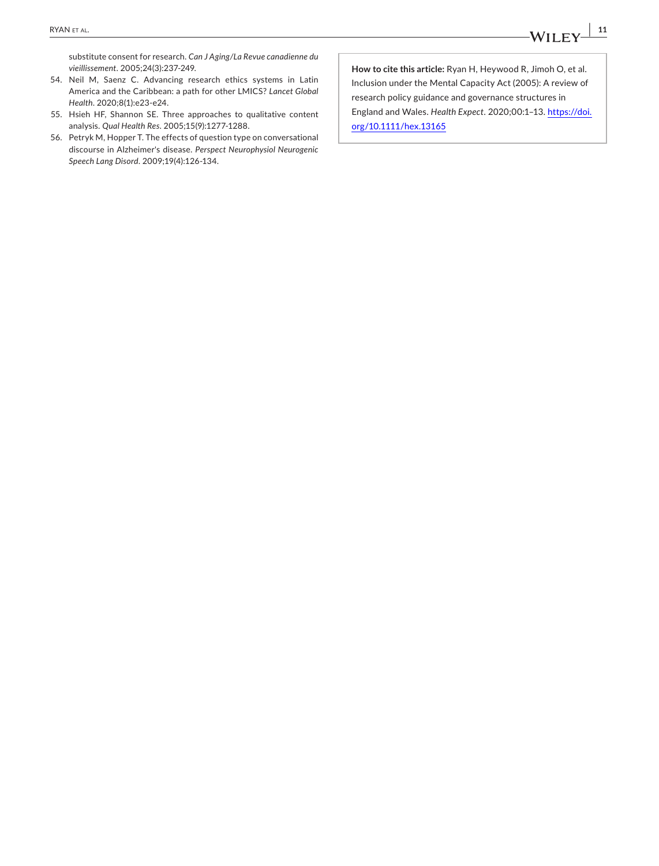substitute consent for research. *Can J Aging/La Revue canadienne du vieillissement*. 2005;24(3):237-249.

- 54. Neil M, Saenz C. Advancing research ethics systems in Latin America and the Caribbean: a path for other LMICS? *Lancet Global Health*. 2020;8(1):e23-e24.
- 55. Hsieh HF, Shannon SE. Three approaches to qualitative content analysis. *Qual Health Res*. 2005;15(9):1277-1288.
- 56. Petryk M, Hopper T. The effects of question type on conversational discourse in Alzheimer's disease. *Perspect Neurophysiol Neurogenic Speech Lang Disord*. 2009;19(4):126-134.

**How to cite this article:** Ryan H, Heywood R, Jimoh O, et al. Inclusion under the Mental Capacity Act (2005): A review of research policy guidance and governance structures in England and Wales. *Health Expect*. 2020;00:1–13. [https://doi.](https://doi.org/10.1111/hex.13165) [org/10.1111/hex.13165](https://doi.org/10.1111/hex.13165)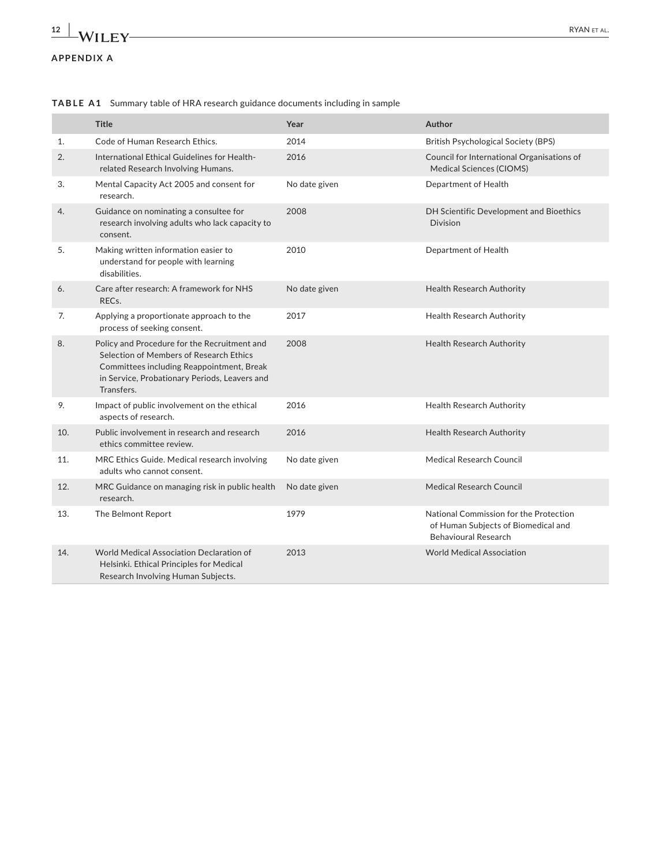# **APPENDIX A**

|     | <b>Title</b>                                                                                                                                                                                        | Year          | Author                                                                                                       |
|-----|-----------------------------------------------------------------------------------------------------------------------------------------------------------------------------------------------------|---------------|--------------------------------------------------------------------------------------------------------------|
| 1.  | Code of Human Research Ethics.                                                                                                                                                                      | 2014          | <b>British Psychological Society (BPS)</b>                                                                   |
| 2.  | International Ethical Guidelines for Health-<br>related Research Involving Humans.                                                                                                                  | 2016          | Council for International Organisations of<br><b>Medical Sciences (CIOMS)</b>                                |
| 3.  | Mental Capacity Act 2005 and consent for<br>research.                                                                                                                                               | No date given | Department of Health                                                                                         |
| 4.  | Guidance on nominating a consultee for<br>research involving adults who lack capacity to<br>consent.                                                                                                | 2008          | DH Scientific Development and Bioethics<br><b>Division</b>                                                   |
| 5.  | Making written information easier to<br>understand for people with learning<br>disabilities.                                                                                                        | 2010          | Department of Health                                                                                         |
| 6.  | Care after research: A framework for NHS<br>RECs.                                                                                                                                                   | No date given | <b>Health Research Authority</b>                                                                             |
| 7.  | Applying a proportionate approach to the<br>process of seeking consent.                                                                                                                             | 2017          | Health Research Authority                                                                                    |
| 8.  | Policy and Procedure for the Recruitment and<br>Selection of Members of Research Ethics<br>Committees including Reappointment, Break<br>in Service, Probationary Periods, Leavers and<br>Transfers. | 2008          | <b>Health Research Authority</b>                                                                             |
| 9.  | Impact of public involvement on the ethical<br>aspects of research.                                                                                                                                 | 2016          | <b>Health Research Authority</b>                                                                             |
| 10. | Public involvement in research and research<br>ethics committee review.                                                                                                                             | 2016          | Health Research Authority                                                                                    |
| 11. | MRC Ethics Guide. Medical research involving<br>adults who cannot consent.                                                                                                                          | No date given | <b>Medical Research Council</b>                                                                              |
| 12. | MRC Guidance on managing risk in public health<br>research.                                                                                                                                         | No date given | <b>Medical Research Council</b>                                                                              |
| 13. | The Belmont Report                                                                                                                                                                                  | 1979          | National Commission for the Protection<br>of Human Subjects of Biomedical and<br><b>Behavioural Research</b> |
| 14. | <b>World Medical Association Declaration of</b><br>Helsinki. Ethical Principles for Medical<br>Research Involving Human Subjects.                                                                   | 2013          | <b>World Medical Association</b>                                                                             |

**TABLE A1** Summary table of HRA research guidance documents including in sample